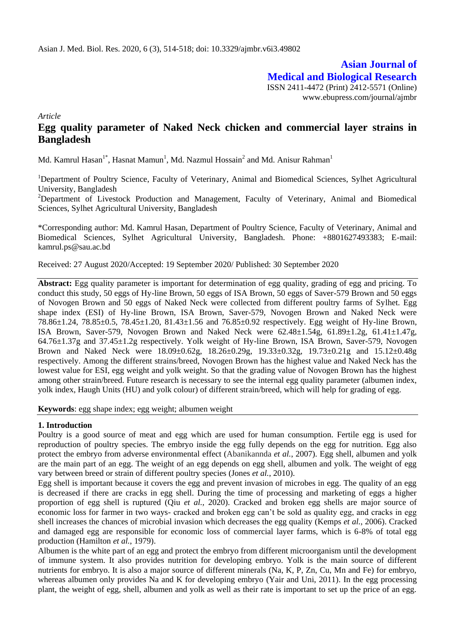# **Asian Journal of Medical and Biological Research**

ISSN 2411-4472 (Print) 2412-5571 (Online) www.ebupress.com/journal/ajmbr

*Article*

# **Egg quality parameter of Naked Neck chicken and commercial layer strains in Bangladesh**

Md. Kamrul Hasan $^{1*}$ , Hasnat Mamun $^{1}$ , Md. Nazmul Hossain $^{2}$  and Md. Anisur Rahman $^{1}$ 

<sup>1</sup>Department of Poultry Science, Faculty of Veterinary, Animal and Biomedical Sciences, Sylhet Agricultural University, Bangladesh

<sup>2</sup>Department of Livestock Production and Management, Faculty of Veterinary, Animal and Biomedical Sciences, Sylhet Agricultural University, Bangladesh

\*Corresponding author: Md. Kamrul Hasan, Department of Poultry Science, Faculty of Veterinary, Animal and Biomedical Sciences, Sylhet Agricultural University, Bangladesh. Phone: +8801627493383; E-mail: kamrul.ps@sau.ac.bd

Received: 27 August 2020/Accepted: 19 September 2020/ Published: 30 September 2020

**Abstract:** Egg quality parameter is important for determination of egg quality, grading of egg and pricing. To conduct this study, 50 eggs of Hy-line Brown, 50 eggs of ISA Brown, 50 eggs of Saver-579 Brown and 50 eggs of Novogen Brown and 50 eggs of Naked Neck were collected from different poultry farms of Sylhet. Egg shape index (ESI) of Hy-line Brown, ISA Brown, Saver-579, Novogen Brown and Naked Neck were 78.86±1.24, 78.85±0.5, 78.45±1.20, 81.43±1.56 and 76.85±0.92 respectively. Egg weight of Hy-line Brown, ISA Brown, Saver-579, Novogen Brown and Naked Neck were  $62.48 \pm 1.54$ g,  $61.89 \pm 1.2$ g,  $61.41 \pm 1.47$ g, 64.76±1.37g and 37.45±1.2g respectively. Yolk weight of Hy-line Brown, ISA Brown, Saver-579, Novogen Brown and Naked Neck were 18.09±0.62g, 18.26±0.29g, 19.33±0.32g, 19.73±0.21g and 15.12±0.48g respectively. Among the different strains/breed, Novogen Brown has the highest value and Naked Neck has the lowest value for ESI, egg weight and yolk weight. So that the grading value of Novogen Brown has the highest among other strain/breed. Future research is necessary to see the internal egg quality parameter (albumen index, yolk index, Haugh Units (HU) and yolk colour) of different strain/breed, which will help for grading of egg.

**Keywords**: egg shape index; egg weight; albumen weight

#### **1. Introduction**

Poultry is a good source of meat and egg which are used for human consumption. Fertile egg is used for reproduction of poultry species. The embryo inside the egg fully depends on the egg for nutrition. Egg also protect the embryo from adverse environmental effect (Abanikannda *et al.*, 2007). Egg shell, albumen and yolk are the main part of an egg. The weight of an egg depends on egg shell, albumen and yolk. The weight of egg vary between breed or strain of different poultry species (Jones *et al.*, 2010).

Egg shell is important because it covers the egg and prevent invasion of microbes in egg. The quality of an egg is decreased if there are cracks in egg shell. During the time of processing and marketing of eggs a higher proportion of egg shell is ruptured (Qiu *et al.,* 2020). Cracked and broken egg shells are major source of economic loss for farmer in two ways- cracked and broken egg can't be sold as quality egg, and cracks in egg shell increases the chances of microbial invasion which decreases the egg quality (Kemps *et al.*, 2006). Cracked and damaged egg are responsible for economic loss of commercial layer farms, which is 6-8% of total egg production (Hamilton *et al.*, 1979).

Albumen is the white part of an egg and protect the embryo from different microorganism until the development of immune system. It also provides nutrition for developing embryo. Yolk is the main source of different nutrients for embryo. It is also a major source of different minerals (Na, K, P, Zn, Cu, Mn and Fe) for embryo, whereas albumen only provides Na and K for developing embryo (Yair and Uni, 2011). In the egg processing plant, the weight of egg, shell, albumen and yolk as well as their rate is important to set up the price of an egg.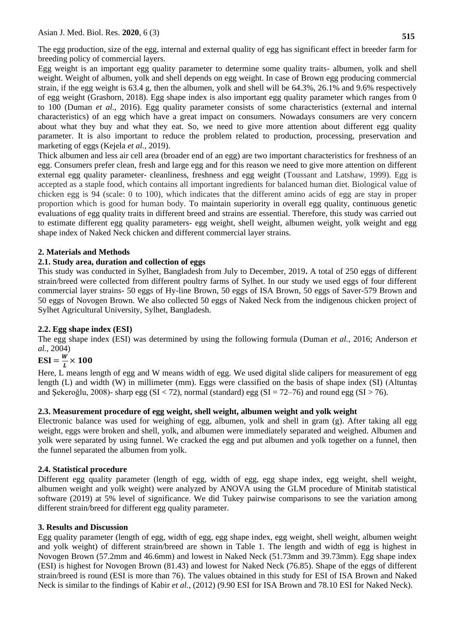The egg production, size of the egg, internal and external quality of egg has significant effect in breeder farm for breeding policy of commercial layers.

Egg weight is an important egg quality parameter to determine some quality traits- albumen, yolk and shell weight. Weight of albumen, yolk and shell depends on egg weight. In case of Brown egg producing commercial strain, if the egg weight is 63.4 g, then the albumen, yolk and shell will be 64.3%, 26.1% and 9.6% respectively of egg weight (Grashorn, 2018). Egg shape index is also important egg quality parameter which ranges from 0 to 100 (Duman *et al.*, 2016). Egg quality parameter consists of some characteristics (external and internal characteristics) of an egg which have a great impact on consumers. Nowadays consumers are very concern about what they buy and what they eat. So, we need to give more attention about different egg quality parameter. It is also important to reduce the problem related to production, processing, preservation and marketing of eggs (Kejela *et al.*, 2019).

Thick albumen and less air cell area (broader end of an egg) are two important characteristics for freshness of an egg. Consumers prefer clean, fresh and large egg and for this reason we need to give more attention on different external egg quality parameter- cleanliness, freshness and egg weight (Toussant and Latshaw, 1999). Egg is accepted as a staple food, which contains all important ingredients for balanced human diet. Biological value of chicken egg is 94 (scale: 0 to 100), which indicates that the different amino acids of egg are stay in proper proportion which is good for human body. To maintain superiority in overall egg quality, continuous genetic evaluations of egg quality traits in different breed and strains are essential. Therefore, this study was carried out to estimate different egg quality parameters- egg weight, shell weight, albumen weight, yolk weight and egg shape index of Naked Neck chicken and different commercial layer strains.

# **2. Materials and Methods**

## **2.1. Study area, duration and collection of eggs**

This study was conducted in Sylhet, Bangladesh from July to December, 2019**.** A total of 250 eggs of different strain/breed were collected from different poultry farms of Sylhet. In our study we used eggs of four different commercial layer strains- 50 eggs of Hy-line Brown, 50 eggs of ISA Brown, 50 eggs of Saver-579 Brown and 50 eggs of Novogen Brown. We also collected 50 eggs of Naked Neck from the indigenous chicken project of Sylhet Agricultural University, Sylhet, Bangladesh.

# **2.2. Egg shape index (ESI)**

The egg shape index (ESI) was determined by using the following formula (Duman *et al.*, 2016; Anderson *et al.*, 2004)

#### $\text{ESI} = \frac{W}{I}$  $\frac{r}{L}$   $\times$

Here, L means length of egg and W means width of egg. We used digital slide calipers for measurement of egg length (L) and width (W) in millimeter (mm). Eggs were classified on the basis of shape index (SI) (Altuntaş and Şekeroğlu, 2008)- sharp egg (SI < 72), normal (standard) egg (SI = 72–76) and round egg (SI > 76).

### **2.3. Measurement procedure of egg weight, shell weight, albumen weight and yolk weight**

Electronic balance was used for weighing of egg, albumen, yolk and shell in gram (g). After taking all egg weight, eggs were broken and shell, yolk, and albumen were immediately separated and weighed. Albumen and yolk were separated by using funnel. We cracked the egg and put albumen and yolk together on a funnel, then the funnel separated the albumen from yolk.

# **2.4. Statistical procedure**

Different egg quality parameter (length of egg, width of egg, egg shape index, egg weight, shell weight, albumen weight and yolk weight) were analyzed by ANOVA using the GLM procedure of Minitab statistical software (2019) at 5% level of significance. We did Tukey pairwise comparisons to see the variation among different strain/breed for different egg quality parameter.

### **3. Results and Discussion**

Egg quality parameter (length of egg, width of egg, egg shape index, egg weight, shell weight, albumen weight and yolk weight) of different strain/breed are shown in Table 1. The length and width of egg is highest in Novogen Brown (57.2mm and 46.6mm) and lowest in Naked Neck (51.73mm and 39.73mm). Egg shape index (ESI) is highest for Novogen Brown (81.43) and lowest for Naked Neck (76.85). Shape of the eggs of different strain/breed is round (ESI is more than 76). The values obtained in this study for ESI of ISA Brown and Naked Neck is similar to the findings of Kabir *et al.,* (2012) (9.90 ESI for ISA Brown and 78.10 ESI for Naked Neck).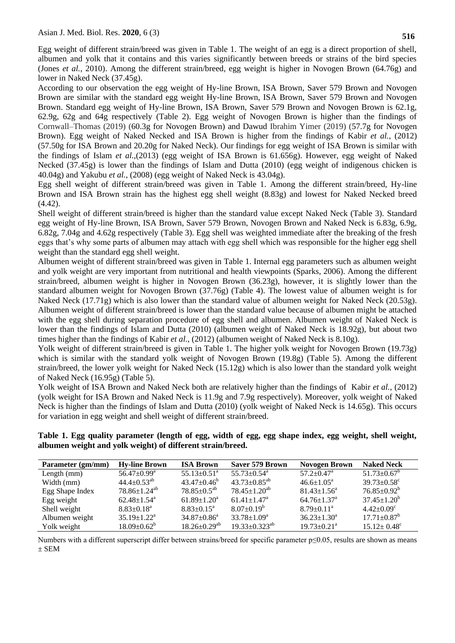Egg weight of different strain/breed was given in Table 1. The weight of an egg is a direct proportion of shell, albumen and yolk that it contains and this varies significantly between breeds or strains of the bird species (Jones *et al.*, 2010). Among the different strain/breed, egg weight is higher in Novogen Brown (64.76g) and lower in Naked Neck (37.45g).

According to our observation the egg weight of Hy-line Brown, ISA Brown, Saver 579 Brown and Novogen Brown are similar with the standard egg weight Hy-line Brown, ISA Brown, Saver 579 Brown and Novogen Brown. Standard egg weight of Hy-line Brown, ISA Brown, Saver 579 Brown and Novogen Brown is 62.1g, 62.9g, 62g and 64g respectively (Table 2). Egg weight of Novogen Brown is higher than the findings of Cornwall–Thomas (2019) (60.3g for Novogen Brown) and Dawud Ibrahim Yimer (2019) (57.7g for Novogen Brown). Egg weight of Naked Necked and ISA Brown is higher from the findings of Kabir *et al.*, (2012) (57.50g for ISA Brown and 20.20g for Naked Neck). Our findings for egg weight of ISA Brown is similar with the findings of Islam *et al.,*(2013) (egg weight of ISA Brown is 61.656g). However, egg weight of Naked Necked (37.45g) is lower than the findings of Islam and Dutta (2010) (egg weight of indigenous chicken is 40.04g) and Yakubu *et al.*, (2008) (egg weight of Naked Neck is 43.04g).

Egg shell weight of different strain/breed was given in Table 1. Among the different strain/breed, Hy-line Brown and ISA Brown strain has the highest egg shell weight (8.83g) and lowest for Naked Necked breed (4.42).

Shell weight of different strain/breed is higher than the standard value except Naked Neck (Table 3). Standard egg weight of Hy-line Brown, ISA Brown, Saver 579 Brown, Novogen Brown and Naked Neck is 6.83g, 6.9g, 6.82g, 7.04g and 4.62g respectively (Table 3). Egg shell was weighted immediate after the breaking of the fresh eggs that's why some parts of albumen may attach with egg shell which was responsible for the higher egg shell weight than the standard egg shell weight.

Albumen weight of different strain/breed was given in Table 1. Internal egg parameters such as albumen weight and yolk weight are very important from nutritional and health viewpoints (Sparks, 2006). Among the different strain/breed, albumen weight is higher in Novogen Brown (36.23g), however, it is slightly lower than the standard albumen weight for Novogen Brown (37.76g) (Table 4). The lowest value of albumen weight is for Naked Neck (17.71g) which is also lower than the standard value of albumen weight for Naked Neck (20.53g). Albumen weight of different strain/breed is lower than the standard value because of albumen might be attached with the egg shell during separation procedure of egg shell and albumen. Albumen weight of Naked Neck is lower than the findings of Islam and Dutta (2010) (albumen weight of Naked Neck is 18.92g), but about two times higher than the findings of Kabir *et al.*, (2012) (albumen weight of Naked Neck is 8.10g).

Yolk weight of different strain/breed is given in Table 1. The higher yolk weight for Novogen Brown (19.73g) which is similar with the standard yolk weight of Novogen Brown (19.8g) (Table 5). Among the different strain/breed, the lower yolk weight for Naked Neck (15.12g) which is also lower than the standard yolk weight of Naked Neck (16.95g) (Table 5).

Yolk weight of ISA Brown and Naked Neck both are relatively higher than the findings of Kabir *et al.*, (2012) (yolk weight for ISA Brown and Naked Neck is 11.9g and 7.9g respectively). Moreover, yolk weight of Naked Neck is higher than the findings of Islam and Dutta (2010) (yolk weight of Naked Neck is 14.65g). This occurs for variation in egg weight and shell weight of different strain/breed.

**Table 1. Egg quality parameter (length of egg, width of egg, egg shape index, egg weight, shell weight, albumen weight and yolk weight) of different strain/breed.** 

| Parameter (gm/mm) | <b>Hy-line Brown</b>          | <b>ISA Brown</b>               | Saver 579 Brown                | Novogen Brown                 | <b>Naked Neck</b>             |
|-------------------|-------------------------------|--------------------------------|--------------------------------|-------------------------------|-------------------------------|
| Length $(mm)$     | $56.47 \pm 0.99^{\mathrm{a}}$ | $55.13 \pm 0.51$ <sup>a</sup>  | $55.73 \pm 0.54$ <sup>a</sup>  | $57.2 \pm 0.47$ <sup>a</sup>  | $51.73 \pm 0.67^b$            |
| Width (mm)        | $44.4 \pm 0.53$ <sup>ab</sup> | $43.47 \pm 0.46^b$             | $43.73 \pm 0.85$ <sup>ab</sup> | $46.6 \pm 1.05^{\text{a}}$    | $39.73 \pm 0.58$ <sup>c</sup> |
| Egg Shape Index   | $78.86 \pm 1.24^{ab}$         | $78.85 \pm 0.5^{ab}$           | $78.45 \pm 1.20^{ab}$          | $81.43 \pm 1.56^a$            | $76.85 \pm 0.92^b$            |
| Egg weight        | $62.48 \pm 1.54$ <sup>a</sup> | $61.89 \pm 1.20$ <sup>a</sup>  | $61.41 \pm 1.47$ <sup>a</sup>  | $64.76 \pm 1.37$ <sup>a</sup> | $37.45 \pm 1.20^b$            |
| Shell weight      | $8.83 \pm 0.18^a$             | $8.83 \pm 0.15^{\text{a}}$     | $8.07 \pm 0.19^b$              | $8.79 \pm 0.11^{\text{a}}$    | $4.42 \pm 0.09$ <sup>c</sup>  |
| Albumen weight    | $35.19 \pm 1.22^{\text{a}}$   | $34.87 \pm 0.86^a$             | $33.78 \pm 1.09^a$             | $36.23 \pm 1.30^a$            | $17.71 \pm 0.87^b$            |
| Yolk weight       | $18.09 \pm 0.62^b$            | $18.26 \pm 0.29$ <sup>ab</sup> | $19.33 \pm 0.323^{ab}$         | $19.73 \pm 0.21$ <sup>a</sup> | $15.12 \pm 0.48$ <sup>c</sup> |

Numbers with a different superscript differ between strains/breed for specific parameter  $p \le 0.05$ , results are shown as means ± SEM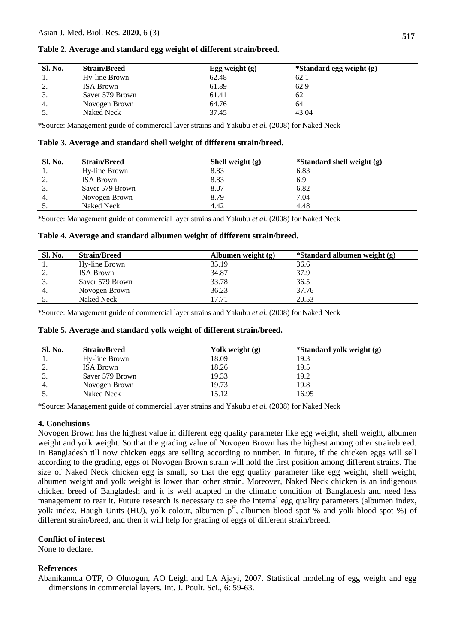| Sl. No.  | <b>Strain/Breed</b> | Egg weight $(g)$ | *Standard egg weight (g) |
|----------|---------------------|------------------|--------------------------|
|          | Hy-line Brown       | 62.48            | 62.1                     |
| <u>.</u> | <b>ISA Brown</b>    | 61.89            | 62.9                     |
| J.       | Saver 579 Brown     | 61.41            | 62                       |
| 4.       | Novogen Brown       | 64.76            | 64                       |
| J.       | Naked Neck          | 37.45            | 43.04                    |

#### **Table 2. Average and standard egg weight of different strain/breed.**

\*Source: Management guide of commercial layer strains and Yakubu *et al.* (2008) for Naked Neck

**Table 3. Average and standard shell weight of different strain/breed.**

| Sl. No. | <b>Strain/Breed</b> | Shell weight $(g)$ | *Standard shell weight (g) |
|---------|---------------------|--------------------|----------------------------|
| . .     | Hy-line Brown       | 8.83               | 6.83                       |
| ٠.      | <b>ISA Brown</b>    | 8.83               | 6.9                        |
|         | Saver 579 Brown     | 8.07               | 6.82                       |
|         | Novogen Brown       | 8.79               | 7.04                       |
| J.      | <b>Naked Neck</b>   | 4.42               | 4.48                       |

\*Source: Management guide of commercial layer strains and Yakubu *et al.* (2008) for Naked Neck

**Table 4. Average and standard albumen weight of different strain/breed.**

| Sl. No. | <b>Strain/Breed</b> | Albumen weight $(g)$ | *Standard albumen weight (g) |
|---------|---------------------|----------------------|------------------------------|
| . .     | Hy-line Brown       | 35.19                | 36.6                         |
| ٠.      | <b>ISA Brown</b>    | 34.87                | 37.9                         |
|         | Saver 579 Brown     | 33.78                | 36.5                         |
| 4.      | Novogen Brown       | 36.23                | 37.76                        |
|         | <b>Naked Neck</b>   | 17.71                | 20.53                        |

\*Source: Management guide of commercial layer strains and Yakubu *et al.* (2008) for Naked Neck

**Table 5. Average and standard yolk weight of different strain/breed.**

| <b>Sl. No.</b> | <b>Strain/Breed</b> | Yolk weight $(g)$ | *Standard yolk weight (g) |
|----------------|---------------------|-------------------|---------------------------|
| . .            | Hy-line Brown       | 18.09             | 19.3                      |
| <u>.</u>       | <b>ISA Brown</b>    | 18.26             | 19.5                      |
| ິ.             | Saver 579 Brown     | 19.33             | 19.2                      |
|                | Novogen Brown       | 19.73             | 19.8                      |
|                | Naked Neck          | 15.12             | 16.95                     |

\*Source: Management guide of commercial layer strains and Yakubu *et al.* (2008) for Naked Neck

#### **4. Conclusions**

Novogen Brown has the highest value in different egg quality parameter like egg weight, shell weight, albumen weight and yolk weight. So that the grading value of Novogen Brown has the highest among other strain/breed. In Bangladesh till now chicken eggs are selling according to number. In future, if the chicken eggs will sell according to the grading, eggs of Novogen Brown strain will hold the first position among different strains. The size of Naked Neck chicken egg is small, so that the egg quality parameter like egg weight, shell weight, albumen weight and yolk weight is lower than other strain. Moreover, Naked Neck chicken is an indigenous chicken breed of Bangladesh and it is well adapted in the climatic condition of Bangladesh and need less management to rear it. Future research is necessary to see the internal egg quality parameters (albumen index, yolk index, Haugh Units (HU), yolk colour, albumen  $p<sup>H</sup>$ , albumen blood spot % and yolk blood spot %) of different strain/breed, and then it will help for grading of eggs of different strain/breed.

#### **Conflict of interest**

None to declare.

#### **References**

Abanikannda OTF, O Olutogun, AO Leigh and LA Ajayi, 2007. Statistical modeling of egg weight and egg dimensions in commercial layers. Int. J. Poult. Sci., 6: 59-63.